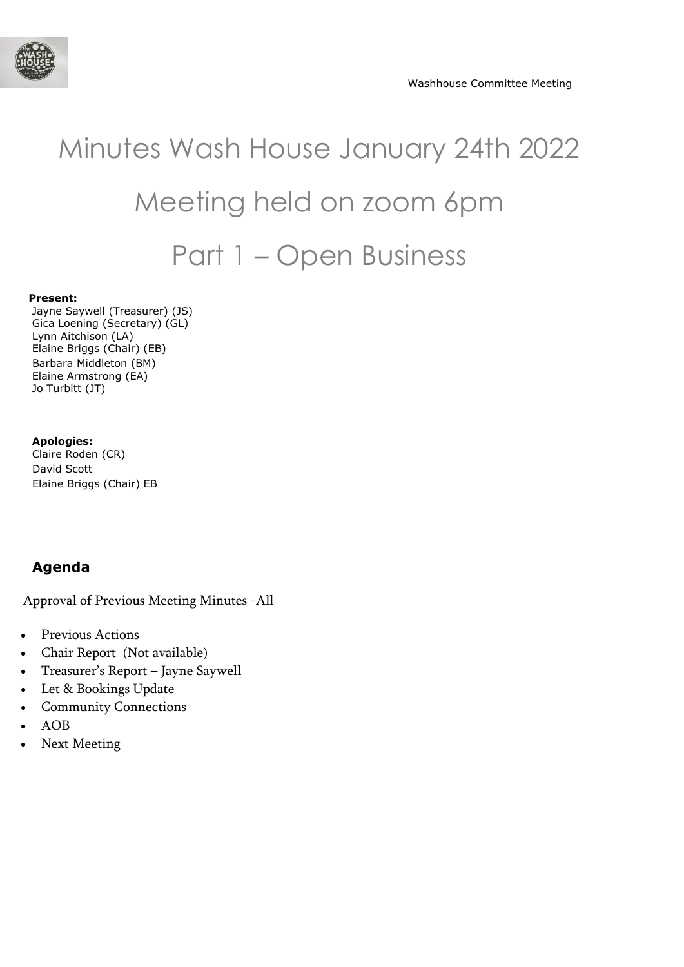

# Minutes Wash House January 24th 2022 Meeting held on zoom 6pm Part 1 – Open Business

#### **Present:**

Jayne Saywell (Treasurer) (JS) Gica Loening (Secretary) (GL) Lynn Aitchison (LA) Elaine Briggs (Chair) (EB) Barbara Middleton (BM) Elaine Armstrong (EA) Jo Turbitt (JT)

#### **Apologies:**

Claire Roden (CR) David Scott Elaine Briggs (Chair) EB

#### **Agenda**

Approval of Previous Meeting Minutes -All

- Previous Actions
- Chair Report (Not available)
- Treasurer's Report Jayne Saywell
- Let & Bookings Update
- **Community Connections**
- AOB
- Next Meeting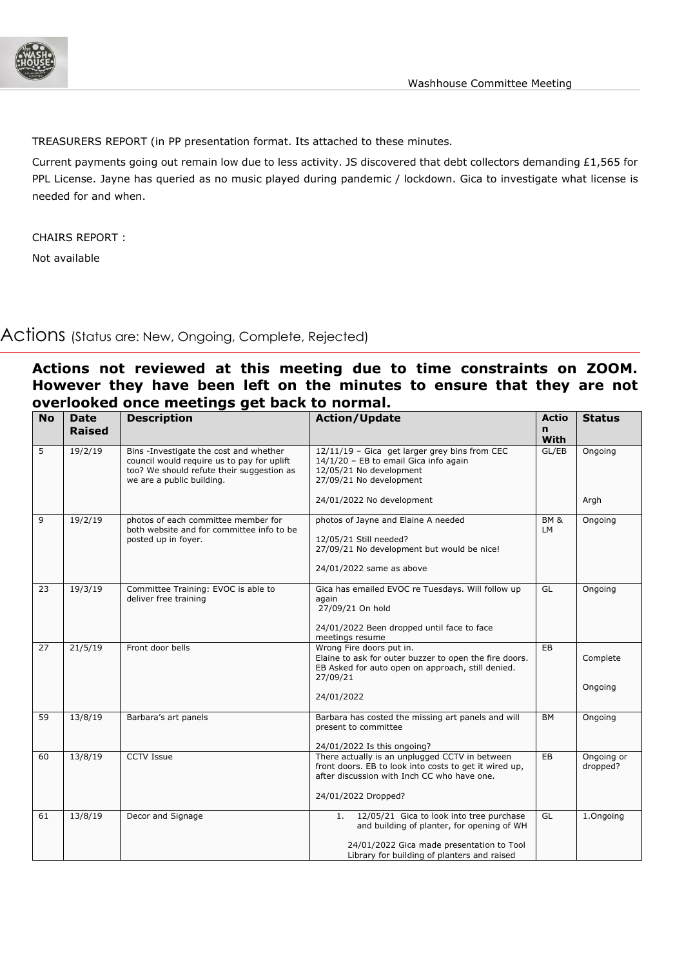

TREASURERS REPORT (in PP presentation format. Its attached to these minutes.

Current payments going out remain low due to less activity. JS discovered that debt collectors demanding £1,565 for PPL License. Jayne has queried as no music played during pandemic / lockdown. Gica to investigate what license is needed for and when.

CHAIRS REPORT :

Not available

Actions (Status are: New, Ongoing, Complete, Rejected)

#### **Actions not reviewed at this meeting due to time constraints on ZOOM. However they have been left on the minutes to ensure that they are not overlooked once meetings get back to normal.**

| <b>No</b> | <b>Date</b><br><b>Raised</b> | <b>Description</b>                                                                                                                                             | <b>Action/Update</b>                                                                                                                                                                     | <b>Actio</b><br>n<br><b>With</b> | <b>Status</b>          |
|-----------|------------------------------|----------------------------------------------------------------------------------------------------------------------------------------------------------------|------------------------------------------------------------------------------------------------------------------------------------------------------------------------------------------|----------------------------------|------------------------|
| 5         | 19/2/19                      | Bins -Investigate the cost and whether<br>council would require us to pay for uplift<br>too? We should refute their suggestion as<br>we are a public building. | 12/11/19 - Gica get larger grey bins from CEC<br>14/1/20 - EB to email Gica info again<br>12/05/21 No development<br>27/09/21 No development                                             | GL/EB                            | Ongoing                |
|           |                              |                                                                                                                                                                | 24/01/2022 No development                                                                                                                                                                |                                  | Argh                   |
| 9         | 19/2/19                      | photos of each committee member for<br>both website and for committee info to be<br>posted up in foyer.                                                        | photos of Jayne and Elaine A needed<br>12/05/21 Still needed?<br>27/09/21 No development but would be nice!<br>24/01/2022 same as above                                                  | <b>BM &amp;</b><br><b>LM</b>     | Ongoing                |
| 23        | 19/3/19                      | Committee Training: EVOC is able to<br>deliver free training                                                                                                   | Gica has emailed EVOC re Tuesdays. Will follow up<br>again<br>27/09/21 On hold<br>24/01/2022 Been dropped until face to face<br>meetings resume                                          | GL                               | Ongoing                |
| 27        | 21/5/19                      | Front door bells                                                                                                                                               | Wrong Fire doors put in.<br>Elaine to ask for outer buzzer to open the fire doors.<br>EB Asked for auto open on approach, still denied.<br>27/09/21<br>24/01/2022                        | EB                               | Complete<br>Ongoing    |
| 59        | 13/8/19                      | Barbara's art panels                                                                                                                                           | Barbara has costed the missing art panels and will<br>present to committee<br>24/01/2022 Is this ongoing?                                                                                | <b>BM</b>                        | Ongoing                |
| 60        | 13/8/19                      | <b>CCTV Issue</b>                                                                                                                                              | There actually is an unplugged CCTV in between<br>front doors. EB to look into costs to get it wired up,<br>after discussion with Inch CC who have one.<br>24/01/2022 Dropped?           | <b>EB</b>                        | Ongoing or<br>dropped? |
| 61        | 13/8/19                      | Decor and Signage                                                                                                                                              | 12/05/21 Gica to look into tree purchase<br>1.<br>and building of planter, for opening of WH<br>24/01/2022 Gica made presentation to Tool<br>Library for building of planters and raised | GL                               | 1.Ongoing              |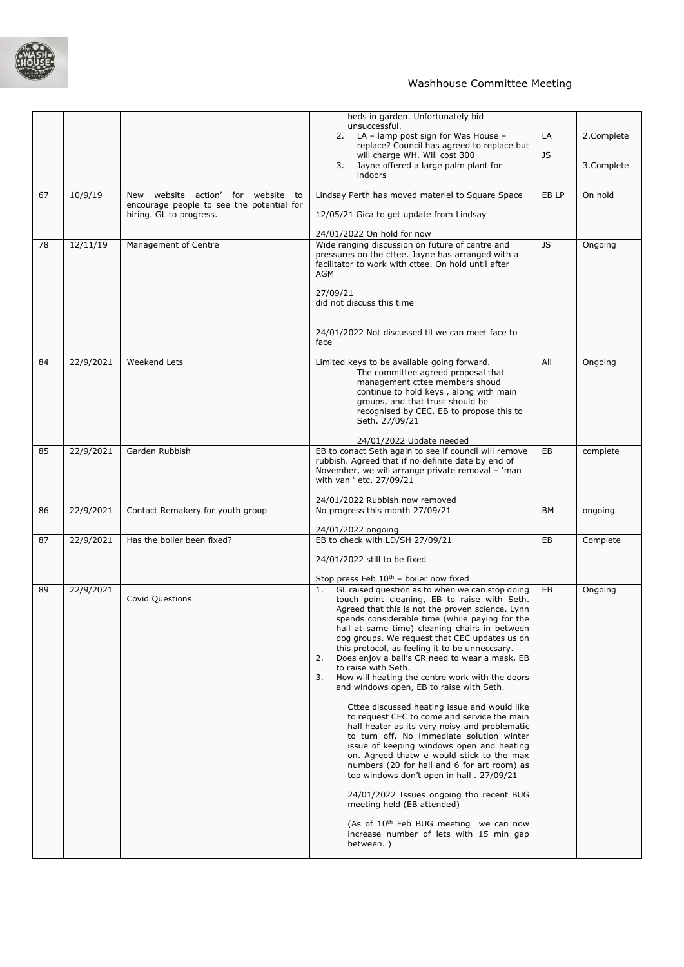

#### Washhouse Committee Meeting

|    |           |                                                                      | beds in garden. Unfortunately bid<br>unsuccessful.<br>2. LA - lamp post sign for Was House -<br>replace? Council has agreed to replace but<br>will charge WH. Will cost 300<br>Jayne offered a large palm plant for<br>3.<br>indoors                                                                                                                                                                                                                                                                                                                                                                                                                                                                                                                                                                                                                                                                                                                                                                                                                                                                                           | LA<br>JS  | 2.Complete<br>3.Complete |
|----|-----------|----------------------------------------------------------------------|--------------------------------------------------------------------------------------------------------------------------------------------------------------------------------------------------------------------------------------------------------------------------------------------------------------------------------------------------------------------------------------------------------------------------------------------------------------------------------------------------------------------------------------------------------------------------------------------------------------------------------------------------------------------------------------------------------------------------------------------------------------------------------------------------------------------------------------------------------------------------------------------------------------------------------------------------------------------------------------------------------------------------------------------------------------------------------------------------------------------------------|-----------|--------------------------|
| 67 | 10/9/19   | New website action' for website to                                   | Lindsay Perth has moved materiel to Square Space                                                                                                                                                                                                                                                                                                                                                                                                                                                                                                                                                                                                                                                                                                                                                                                                                                                                                                                                                                                                                                                                               | EB LP     | On hold                  |
|    |           | encourage people to see the potential for<br>hiring. GL to progress. | 12/05/21 Gica to get update from Lindsay                                                                                                                                                                                                                                                                                                                                                                                                                                                                                                                                                                                                                                                                                                                                                                                                                                                                                                                                                                                                                                                                                       |           |                          |
|    |           |                                                                      | 24/01/2022 On hold for now                                                                                                                                                                                                                                                                                                                                                                                                                                                                                                                                                                                                                                                                                                                                                                                                                                                                                                                                                                                                                                                                                                     |           |                          |
| 78 | 12/11/19  | Management of Centre                                                 | Wide ranging discussion on future of centre and<br>pressures on the cttee. Jayne has arranged with a<br>facilitator to work with cttee. On hold until after<br><b>AGM</b><br>27/09/21<br>did not discuss this time                                                                                                                                                                                                                                                                                                                                                                                                                                                                                                                                                                                                                                                                                                                                                                                                                                                                                                             | JS        | Ongoing                  |
|    |           |                                                                      | 24/01/2022 Not discussed til we can meet face to<br>face                                                                                                                                                                                                                                                                                                                                                                                                                                                                                                                                                                                                                                                                                                                                                                                                                                                                                                                                                                                                                                                                       |           |                          |
| 84 | 22/9/2021 | Weekend Lets                                                         | Limited keys to be available going forward.<br>The committee agreed proposal that<br>management cttee members shoud<br>continue to hold keys, along with main<br>groups, and that trust should be<br>recognised by CEC. EB to propose this to<br>Seth. 27/09/21<br>24/01/2022 Update needed                                                                                                                                                                                                                                                                                                                                                                                                                                                                                                                                                                                                                                                                                                                                                                                                                                    | All       | Ongoing                  |
| 85 | 22/9/2021 | Garden Rubbish                                                       | EB to conact Seth again to see if council will remove<br>rubbish. Agreed that if no definite date by end of<br>November, we will arrange private removal - 'man<br>with van ' etc. 27/09/21<br>24/01/2022 Rubbish now removed                                                                                                                                                                                                                                                                                                                                                                                                                                                                                                                                                                                                                                                                                                                                                                                                                                                                                                  | EB        | complete                 |
| 86 | 22/9/2021 | Contact Remakery for youth group                                     | No progress this month 27/09/21                                                                                                                                                                                                                                                                                                                                                                                                                                                                                                                                                                                                                                                                                                                                                                                                                                                                                                                                                                                                                                                                                                | <b>BM</b> | ongoing                  |
| 87 | 22/9/2021 | Has the boiler been fixed?                                           | 24/01/2022 ongoing<br>EB to check with LD/SH 27/09/21                                                                                                                                                                                                                                                                                                                                                                                                                                                                                                                                                                                                                                                                                                                                                                                                                                                                                                                                                                                                                                                                          | EB        |                          |
|    |           |                                                                      | 24/01/2022 still to be fixed<br>Stop press Feb $10^{th}$ – boiler now fixed                                                                                                                                                                                                                                                                                                                                                                                                                                                                                                                                                                                                                                                                                                                                                                                                                                                                                                                                                                                                                                                    |           | Complete                 |
| 89 | 22/9/2021 | <b>Covid Questions</b>                                               | GL raised question as to when we can stop doing<br>1.<br>touch point cleaning, EB to raise with Seth.<br>Agreed that this is not the proven science. Lynn<br>spends considerable time (while paying for the<br>hall at same time) cleaning chairs in between<br>dog groups. We request that CEC updates us on<br>this protocol, as feeling it to be unneccsary.<br>2.<br>Does enjoy a ball's CR need to wear a mask, EB<br>to raise with Seth.<br>3.<br>How will heating the centre work with the doors<br>and windows open, EB to raise with Seth.<br>Cttee discussed heating issue and would like<br>to request CEC to come and service the main<br>hall heater as its very noisy and problematic<br>to turn off. No immediate solution winter<br>issue of keeping windows open and heating<br>on. Agreed thatw e would stick to the max<br>numbers (20 for hall and 6 for art room) as<br>top windows don't open in hall . 27/09/21<br>24/01/2022 Issues ongoing tho recent BUG<br>meeting held (EB attended)<br>(As of 10 <sup>th</sup> Feb BUG meeting we can now<br>increase number of lets with 15 min gap<br>between.) | EB        | Ongoing                  |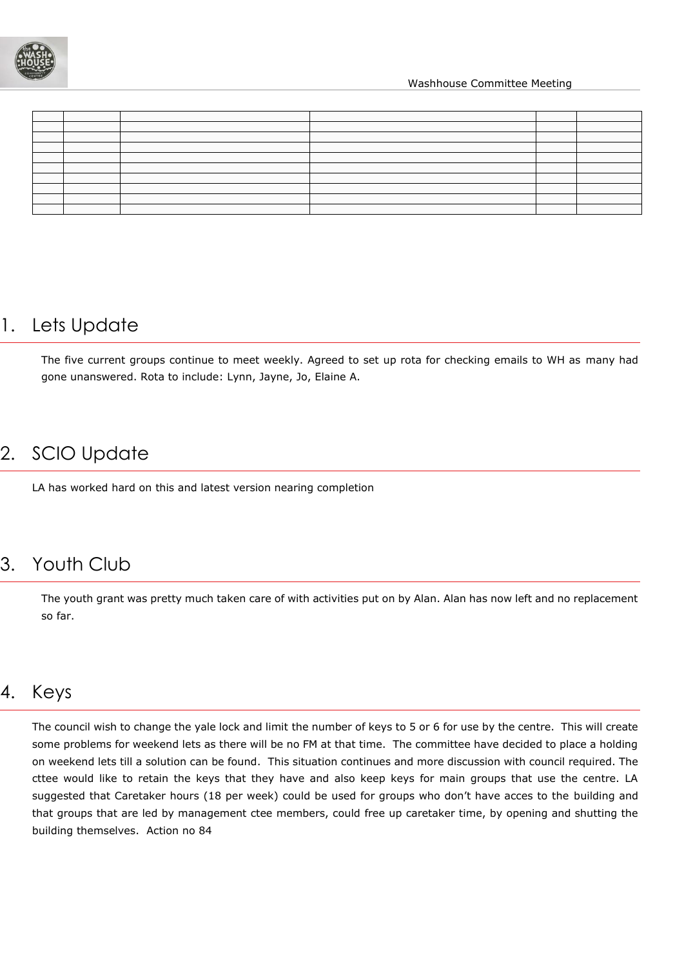

#### Washhouse Committee Meeting

|  |  |  | ,一个人都是一个人的人,就是一个人的人,就是一个人的人,就是一个人的人,就是一个人的人,就是一个人的人,就是一个人的人,就是一个人的人,就是一个人的人,就是一个 |  |  |  |
|--|--|--|----------------------------------------------------------------------------------|--|--|--|
|  |  |  |                                                                                  |  |  |  |
|  |  |  |                                                                                  |  |  |  |
|  |  |  |                                                                                  |  |  |  |
|  |  |  |                                                                                  |  |  |  |
|  |  |  |                                                                                  |  |  |  |
|  |  |  |                                                                                  |  |  |  |
|  |  |  |                                                                                  |  |  |  |
|  |  |  |                                                                                  |  |  |  |
|  |  |  |                                                                                  |  |  |  |
|  |  |  |                                                                                  |  |  |  |

## 1. Lets Update

The five current groups continue to meet weekly. Agreed to set up rota for checking emails to WH as many had gone unanswered. Rota to include: Lynn, Jayne, Jo, Elaine A.

## 2. SCIO Update

LA has worked hard on this and latest version nearing completion

#### 3. Youth Club

The youth grant was pretty much taken care of with activities put on by Alan. Alan has now left and no replacement so far.

#### 4. Keys

The council wish to change the yale lock and limit the number of keys to 5 or 6 for use by the centre. This will create some problems for weekend lets as there will be no FM at that time. The committee have decided to place a holding on weekend lets till a solution can be found. This situation continues and more discussion with council required. The cttee would like to retain the keys that they have and also keep keys for main groups that use the centre. LA suggested that Caretaker hours (18 per week) could be used for groups who don't have acces to the building and that groups that are led by management ctee members, could free up caretaker time, by opening and shutting the building themselves. Action no 84